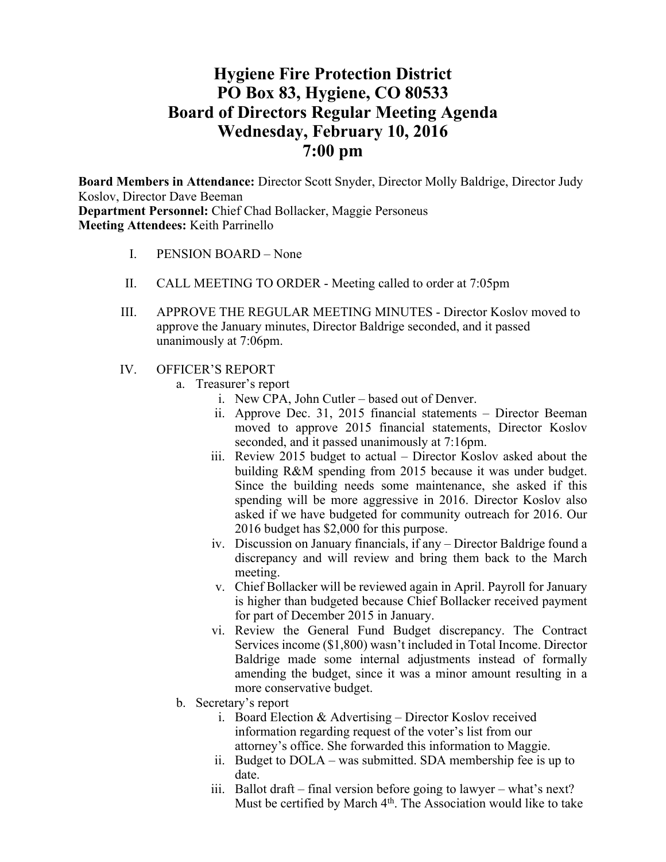# **Hygiene Fire Protection District PO Box 83, Hygiene, CO 80533 Board of Directors Regular Meeting Agenda Wednesday, February 10, 2016 7:00 pm**

**Board Members in Attendance:** Director Scott Snyder, Director Molly Baldrige, Director Judy Koslov, Director Dave Beeman **Department Personnel:** Chief Chad Bollacker, Maggie Personeus **Meeting Attendees:** Keith Parrinello

- I. PENSION BOARD None
- II. CALL MEETING TO ORDER Meeting called to order at 7:05pm
- III. APPROVE THE REGULAR MEETING MINUTES Director Koslov moved to approve the January minutes, Director Baldrige seconded, and it passed unanimously at 7:06pm.
- IV. OFFICER'S REPORT
	- a. Treasurer's report
		- i. New CPA, John Cutler based out of Denver.
		- ii. Approve Dec. 31, 2015 financial statements Director Beeman moved to approve 2015 financial statements, Director Koslov seconded, and it passed unanimously at 7:16pm.
		- iii. Review 2015 budget to actual Director Koslov asked about the building R&M spending from 2015 because it was under budget. Since the building needs some maintenance, she asked if this spending will be more aggressive in 2016. Director Koslov also asked if we have budgeted for community outreach for 2016. Our 2016 budget has \$2,000 for this purpose.
		- iv. Discussion on January financials, if any Director Baldrige found a discrepancy and will review and bring them back to the March meeting.
		- v. Chief Bollacker will be reviewed again in April. Payroll for January is higher than budgeted because Chief Bollacker received payment for part of December 2015 in January.
		- vi. Review the General Fund Budget discrepancy. The Contract Services income (\$1,800) wasn't included in Total Income. Director Baldrige made some internal adjustments instead of formally amending the budget, since it was a minor amount resulting in a more conservative budget.
	- b. Secretary's report
		- i. Board Election & Advertising Director Koslov received information regarding request of the voter's list from our attorney's office. She forwarded this information to Maggie.
		- ii. Budget to DOLA was submitted. SDA membership fee is up to date.
		- iii. Ballot draft final version before going to lawyer what's next? Must be certified by March 4<sup>th</sup>. The Association would like to take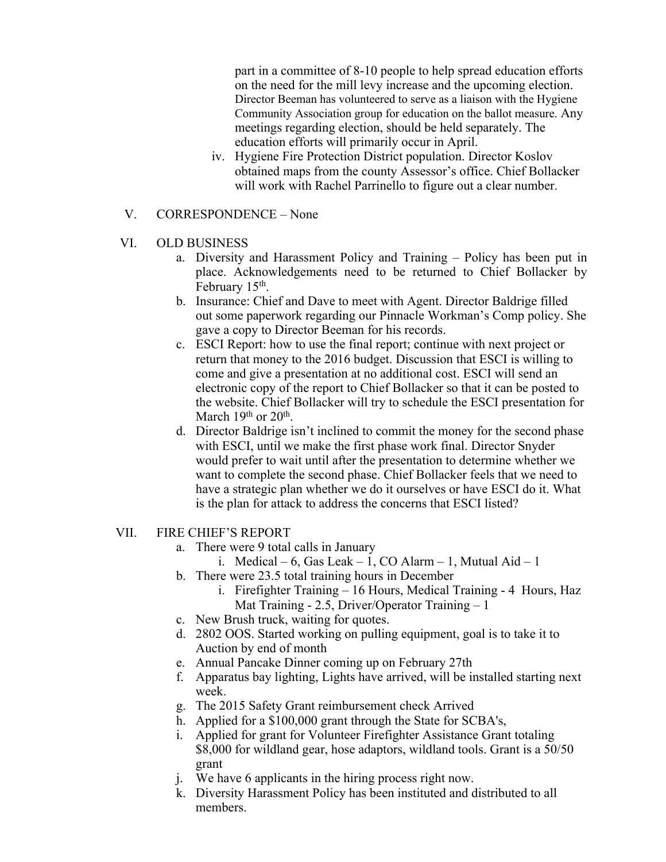part in a committee of 8-10 people to help spread education efforts on the need for the mill levy increase and the upcoming election. Director Beeman has volunteered to serve as a liaison with the Hygiene Community Association group for education on the ballot measure. Any meetings regarding election, should be held separately. The education efforts will primarily occur in April.

- iv. Hygiene Fire Protection District population. Director Koslov obtained maps from the county Assessor's office. Chief Bollacker will work with Rachel Parrinello to figure out a clear number.
- V. CORRESPONDENCE None
- VI. OLD BUSINESS
	- a. Diversity and Harassment Policy and Training Policy has been put in place. Acknowledgements need to be returned to Chief Bollacker by February 15<sup>th</sup>.
	- b. Insurance: Chief and Dave to meet with Agent. Director Baldrige filled out some paperwork regarding our Pinnacle Workman's Comp policy. She gave a copy to Director Beeman for his records.
	- c. ESCI Report: how to use the final report; continue with next project or return that money to the 2016 budget. Discussion that ESCI is willing to come and give a presentation at no additional cost. ESCI will send an electronic copy of the report to Chief Bollacker so that it can be posted to the website. Chief Bollacker will try to schedule the ESCI presentation for March 19<sup>th</sup> or 20<sup>th</sup>.
	- d. Director Baldrige isn't inclined to commit the money for the second phase with ESCI, until we make the first phase work final. Director Snyder would prefer to wait until after the presentation to determine whether we want to complete the second phase. Chief Bollacker feels that we need to have a strategic plan whether we do it ourselves or have ESCI do it. What is the plan for attack to address the concerns that ESCI listed?
- VII. FIRE CHIEF'S REPORT
	- a. There were 9 total calls in January
		- i. Medical 6, Gas Leak 1, CO Alarm 1, Mutual Aid 1
	- b. There were 23.5 total training hours in December
		- i. Firefighter Training 16 Hours, Medical Training 4 Hours, Haz Mat Training - 2.5, Driver/Operator Training – 1
	- c. New Brush truck, waiting for quotes.
	- d. 2802 OOS. Started working on pulling equipment, goal is to take it to Auction by end of month
	- e. Annual Pancake Dinner coming up on February 27th
	- f. Apparatus bay lighting, Lights have arrived, will be installed starting next week.
	- g. The 2015 Safety Grant reimbursement check Arrived
	- h. Applied for a \$100,000 grant through the State for SCBA's,
	- i. Applied for grant for Volunteer Firefighter Assistance Grant totaling \$8,000 for wildland gear, hose adaptors, wildland tools. Grant is a 50/50 grant
	- j. We have 6 applicants in the hiring process right now.
	- k. Diversity Harassment Policy has been instituted and distributed to all members.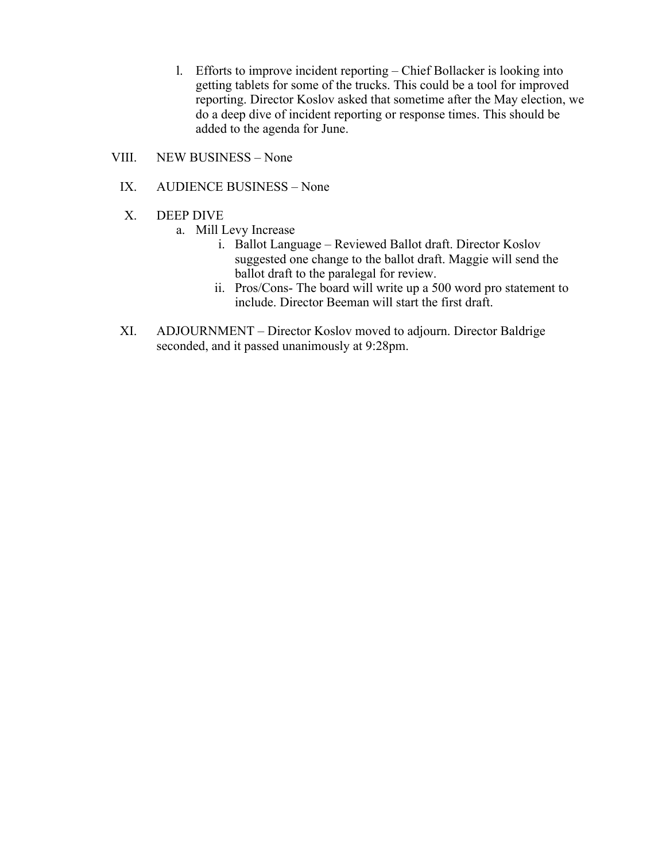- l. Efforts to improve incident reporting Chief Bollacker is looking into getting tablets for some of the trucks. This could be a tool for improved reporting. Director Koslov asked that sometime after the May election, we do a deep dive of incident reporting or response times. This should be added to the agenda for June.
- VIII. NEW BUSINESS None
	- IX. AUDIENCE BUSINESS None
	- X. DEEP DIVE
		- a. Mill Levy Increase
			- i. Ballot Language Reviewed Ballot draft. Director Koslov suggested one change to the ballot draft. Maggie will send the ballot draft to the paralegal for review.
			- ii. Pros/Cons- The board will write up a 500 word pro statement to include. Director Beeman will start the first draft.
	- XI. ADJOURNMENT Director Koslov moved to adjourn. Director Baldrige seconded, and it passed unanimously at 9:28pm.